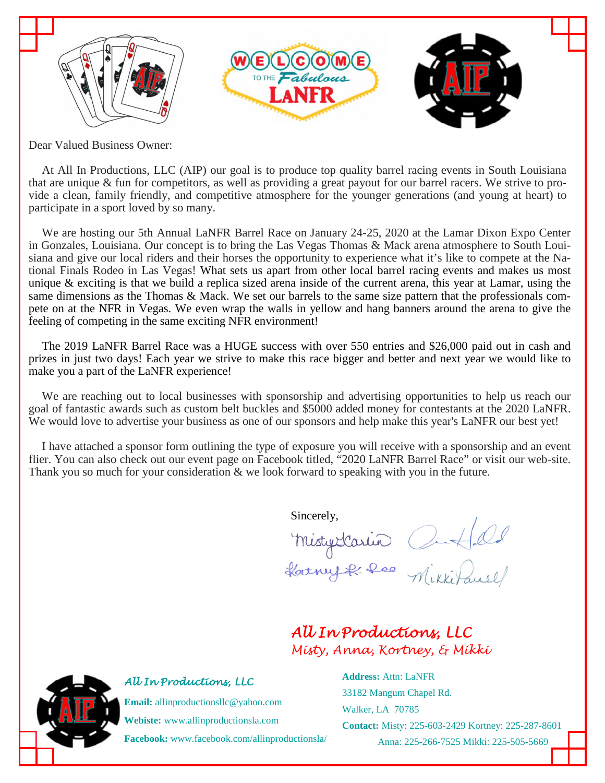

Dear Valued Business Owner:

At All In Productions, LLC (AIP) our goal is to produce top quality barrel racing events in South Louisiana that are unique & fun for competitors, as well as providing a great payout for our barrel racers. We strive to provide a clean, family friendly, and competitive atmosphere for the younger generations (and young at heart) to participate in a sport loved by so many.

We are hosting our 5th Annual LaNFR Barrel Race on January 24-25, 2020 at the Lamar Dixon Expo Center in Gonzales, Louisiana. Our concept is to bring the Las Vegas Thomas & Mack arena atmosphere to South Louisiana and give our local riders and their horses the opportunity to experience what it's like to compete at the National Finals Rodeo in Las Vegas! What sets us apart from other local barrel racing events and makes us most unique  $\&$  exciting is that we build a replica sized arena inside of the current arena, this year at Lamar, using the same dimensions as the Thomas & Mack. We set our barrels to the same size pattern that the professionals compete on at the NFR in Vegas. We even wrap the walls in yellow and hang banners around the arena to give the feeling of competing in the same exciting NFR environment!

The 2019 LaNFR Barrel Race was a HUGE success with over 550 entries and \$26,000 paid out in cash and prizes in just two days! Each year we strive to make this race bigger and better and next year we would like to make you a part of the LaNFR experience!

We are reaching out to local businesses with sponsorship and advertising opportunities to help us reach our goal of fantastic awards such as custom belt buckles and \$5000 added money for contestants at the 2020 LaNFR. We would love to advertise your business as one of our sponsors and help make this year's LaNFR our best yet!

I have attached a sponsor form outlining the type of exposure you will receive with a sponsorship and an event flier. You can also check out our event page on Facebook titled, "2020 LaNFR Barrel Race" or visit our web-site. Thank you so much for your consideration  $\&$  we look forward to speaking with you in the future.

Sincerely,

Mistyclarin Cutled<br>Harny R. Ree Mikkitaull

## *All In Productions, LLC Misty, Anna, Kortney, & Mikki*



## *All In Productions, LLC*

**Email:** allinproductionsllc@yahoo.com **Webiste:** www.allinproductionsla.com **Facebook:** www.facebook.com/allinproductionsla/ **Address:** Attn: LaNFR 33182 Mangum Chapel Rd. Walker, LA 70785 **Contact:** Misty: 225-603-2429 Kortney: 225-287-8601 Anna: 225-266-7525 Mikki: 225-505-5669